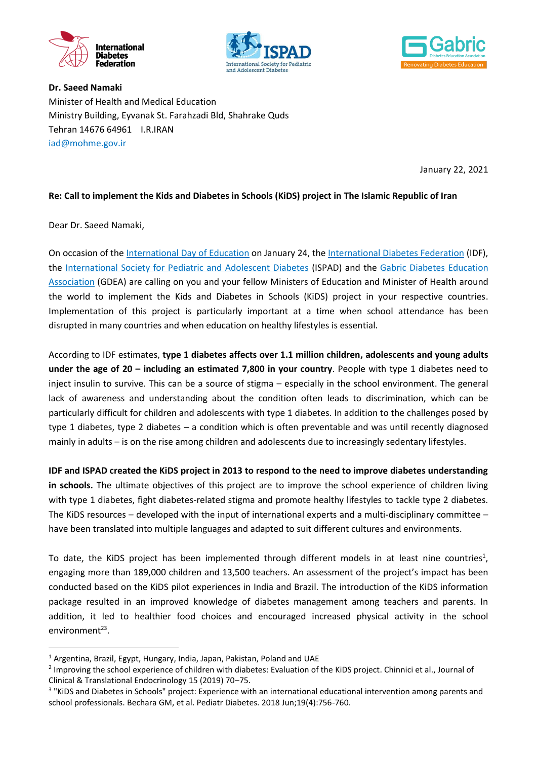





**Dr. Saeed Namaki** Minister of Health and Medical Education Ministry Building, Eyvanak St. Farahzadi Bld, Shahrake Quds Tehran 14676 64961 I.R.IRAN [iad@mohme.gov.ir](mailto:iad@mohme.gov.ir) 

January 22, 2021

## **Re: Call to implement the Kids and Diabetes in Schools (KiDS) project in The Islamic Republic of Iran**

Dear Dr. Saeed Namaki,

1

On occasion of the [International Day of Education](https://en.unesco.org/commemorations/educationday) on January 24, th[e International Diabetes Federation](https://idf.org/) (IDF), the [International Society for Pediatric and Adolescent Diabetes](https://www.ispad.org/) (ISPAD) and the Gabric Diabetes Education Association (GDEA) are calling on you and your fellow Ministers of Education and Minister of Health around the world to implement the Kids and Diabetes in Schools (KiDS) project in your respective countries. Implementation of this project is particularly important at a time when school attendance has been disrupted in many countries and when education on healthy lifestyles is essential.

According to IDF estimates, **type 1 diabetes affects over 1.1 million children, adolescents and young adults under the age of 20 – including an estimated 7,800 in your country**. People with type 1 diabetes need to inject insulin to survive. This can be a source of stigma – especially in the school environment. The general lack of awareness and understanding about the condition often leads to discrimination, which can be particularly difficult for children and adolescents with type 1 diabetes. In addition to the challenges posed by type 1 diabetes, type 2 diabetes – a condition which is often preventable and was until recently diagnosed mainly in adults – is on the rise among children and adolescents due to increasingly sedentary lifestyles.

**IDF and ISPAD created the KiDS project in 2013 to respond to the need to improve diabetes understanding in schools.** The ultimate objectives of this project are to improve the school experience of children living with type 1 diabetes, fight diabetes-related stigma and promote healthy lifestyles to tackle type 2 diabetes. The KiDS resources – developed with the input of international experts and a multi-disciplinary committee – have been translated into multiple languages and adapted to suit different cultures and environments.

To date, the KiDS project has been implemented through different models in at least nine countries<sup>1</sup>, engaging more than 189,000 children and 13,500 teachers. An assessment of the project's impact has been conducted based on the KiDS pilot experiences in India and Brazil. The introduction of the KiDS information package resulted in an improved knowledge of diabetes management among teachers and parents. In addition, it led to healthier food choices and encouraged increased physical activity in the school environment<sup>23</sup>.

<sup>&</sup>lt;sup>1</sup> Argentina, Brazil, Egypt, Hungary, India, Japan, Pakistan, Poland and UAE

<sup>&</sup>lt;sup>2</sup> Improving the school experience of children with diabetes: Evaluation of the KiDS project. Chinnici et al., Journal of Clinical & Translational Endocrinology 15 (2019) 70–75.

<sup>&</sup>lt;sup>3</sup> "KiDS and Diabetes in Schools" project: Experience with an international educational intervention among parents and school professionals. Bechara GM, et al. Pediatr Diabetes. 2018 Jun;19(4):756-760.